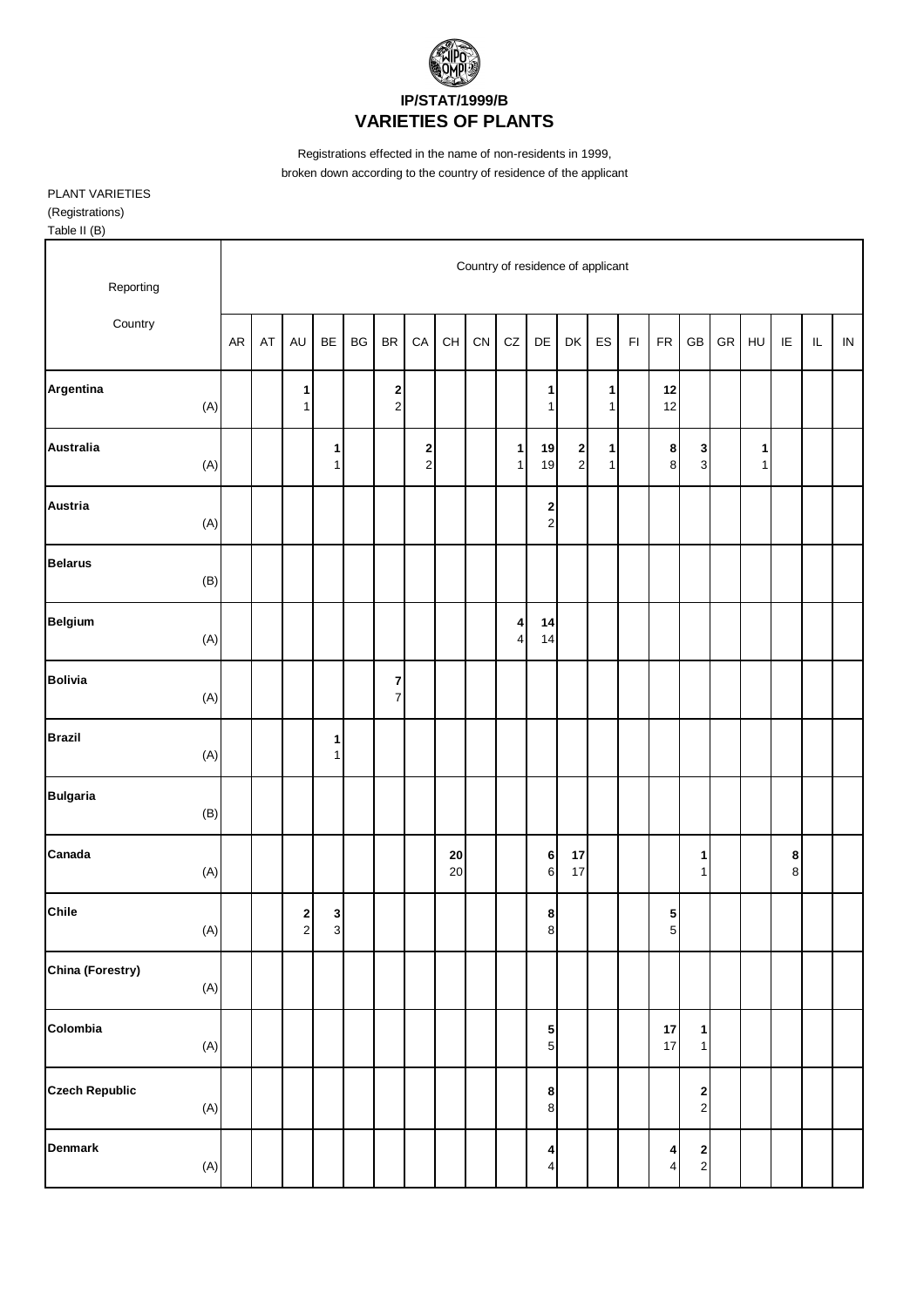

## **VARIETIES OF PLANTS**

Registrations effected in the name of non-residents in 1999, broken down according to the country of residence of the applicant

PLANT VARIETIES (Registrations) Table II (B)

| Reporting             |                |    |    |                   |        |                        |                                                    |                     |                                          | Country of residence of applicant |                              |                                |                                          |                   |               |                                  |                                          |            |                   |             |    |            |
|-----------------------|----------------|----|----|-------------------|--------|------------------------|----------------------------------------------------|---------------------|------------------------------------------|-----------------------------------|------------------------------|--------------------------------|------------------------------------------|-------------------|---------------|----------------------------------|------------------------------------------|------------|-------------------|-------------|----|------------|
| Country               |                | AR | AT | AU                | BE     | $\mathsf{B}\mathsf{G}$ | $\mathsf{BR}$                                      | CA                  | $\mathsf{CH}% \left( \mathcal{M}\right)$ | CN                                | ${\tt CZ}$                   | DE                             | DK                                       | ES                | $\mathsf{FI}$ | ${\sf FR}$                       | GB                                       | ${\sf GR}$ | HU                | IE          | IL | ${\sf IN}$ |
| Argentina             | (A)            |    |    | 1<br>$\mathbf{1}$ |        |                        | 2<br>$\sqrt{2}$                                    |                     |                                          |                                   |                              | 1<br>1                         |                                          | 1<br>1            |               | 12<br>12                         |                                          |            |                   |             |    |            |
| <b>Australia</b>      | (A)            |    |    |                   | 1<br>1 |                        |                                                    | 2<br>$\overline{c}$ |                                          |                                   | 1<br>$\mathbf{1}$            | 19<br>19                       | $\begin{array}{c} \n2 \\ 2\n\end{array}$ | 1<br>$\mathbf{1}$ |               | 8<br>$\bf 8$                     | 3<br>$\overline{3}$                      |            | 1<br>$\mathbf{1}$ |             |    |            |
| Austria               | (A)            |    |    |                   |        |                        |                                                    |                     |                                          |                                   |                              | $\mathbf{2}$<br>$\overline{a}$ |                                          |                   |               |                                  |                                          |            |                   |             |    |            |
| <b>Belarus</b>        | (B)            |    |    |                   |        |                        |                                                    |                     |                                          |                                   |                              |                                |                                          |                   |               |                                  |                                          |            |                   |             |    |            |
| Belgium               | $(A)$          |    |    |                   |        |                        |                                                    |                     |                                          |                                   | 4<br>$\overline{\mathbf{r}}$ | 14<br>14                       |                                          |                   |               |                                  |                                          |            |                   |             |    |            |
| <b>Bolivia</b>        | $(A)$          |    |    |                   |        |                        | $\overline{\mathbf{r}}$<br>$\overline{\mathbf{7}}$ |                     |                                          |                                   |                              |                                |                                          |                   |               |                                  |                                          |            |                   |             |    |            |
| <b>Brazil</b>         | (A)            |    |    |                   | 1<br>1 |                        |                                                    |                     |                                          |                                   |                              |                                |                                          |                   |               |                                  |                                          |            |                   |             |    |            |
| <b>Bulgaria</b>       | (B)            |    |    |                   |        |                        |                                                    |                     |                                          |                                   |                              |                                |                                          |                   |               |                                  |                                          |            |                   |             |    |            |
| Canada                | $(\mathsf{A})$ |    |    |                   |        |                        |                                                    |                     | ${\bf 20}$<br>$20\,$                     |                                   |                              | $\bf 6$<br>6                   | 17<br>$17$                               |                   |               |                                  | 1<br>$\mathbf{1}$                        |            |                   | 8<br>$\bf8$ |    |            |
| Chile                 | (A)            |    |    | $\frac{2}{2}$     | 3<br>3 |                        |                                                    |                     |                                          |                                   |                              | 8<br>$\mathbf{8}$              |                                          |                   |               | 5<br>5 <sub>5</sub>              |                                          |            |                   |             |    |            |
| China (Forestry)      | $(A)$          |    |    |                   |        |                        |                                                    |                     |                                          |                                   |                              |                                |                                          |                   |               |                                  |                                          |            |                   |             |    |            |
| Colombia              | $(A)$          |    |    |                   |        |                        |                                                    |                     |                                          |                                   |                              | 5<br>5                         |                                          |                   |               | 17<br>17                         | 1<br>1                                   |            |                   |             |    |            |
| <b>Czech Republic</b> | (A)            |    |    |                   |        |                        |                                                    |                     |                                          |                                   |                              | 8<br>8                         |                                          |                   |               |                                  | 2<br>$\overline{c}$                      |            |                   |             |    |            |
| <b>Denmark</b>        | (A)            |    |    |                   |        |                        |                                                    |                     |                                          |                                   |                              | 4<br>$\overline{\mathbf{r}}$   |                                          |                   |               | $\overline{4}$<br>$\overline{4}$ | $\begin{array}{c} \n2 \\ 2\n\end{array}$ |            |                   |             |    |            |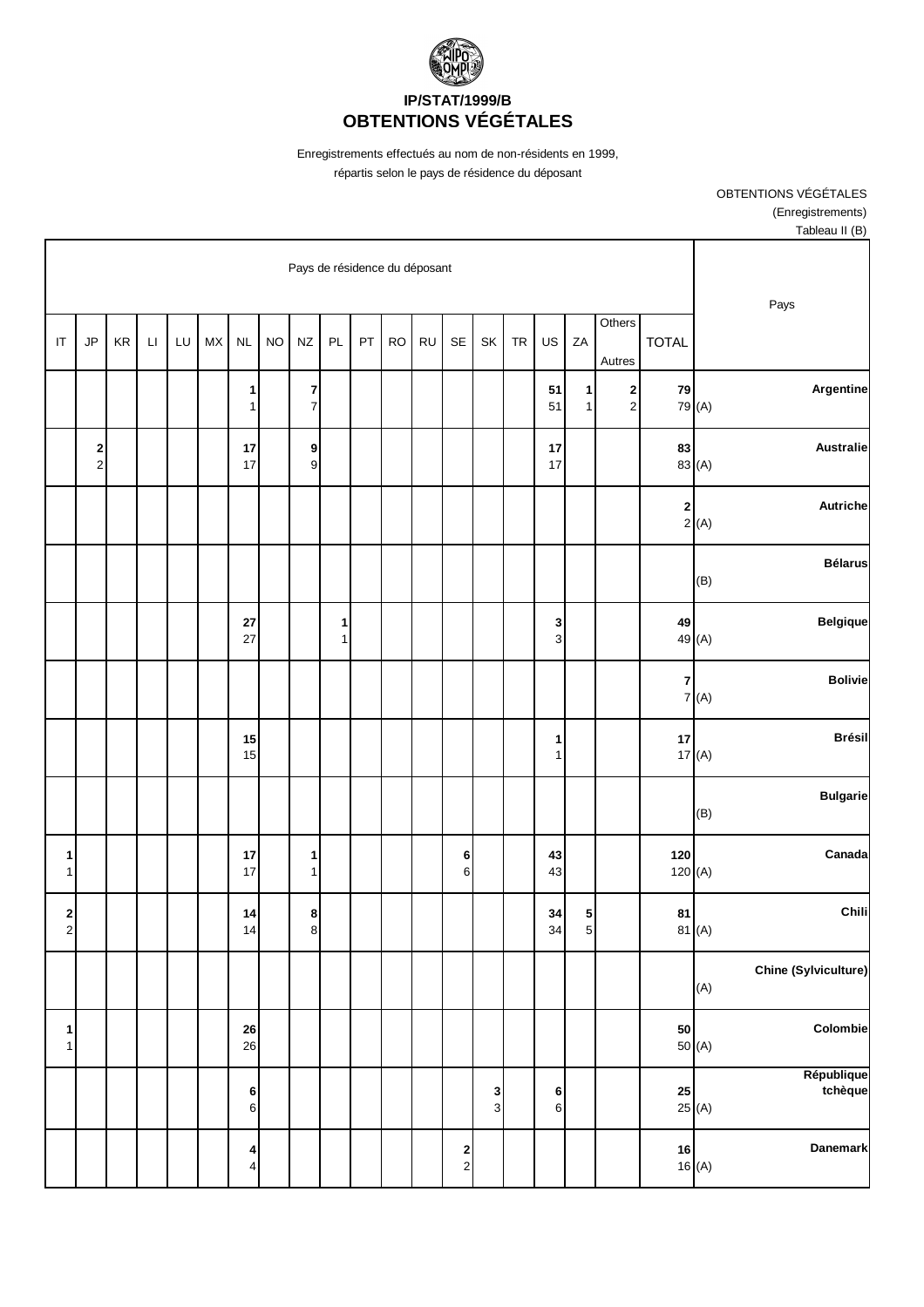

Enregistrements effectués au nom de non-résidents en 1999,

répartis selon le pays de résidence du déposant

OBTENTIONS VÉGÉTALES (Enregistrements) Tableau II (B)

| Pays                        |                                 |                                |                     |                              |           |               |                                |           |           |    | Pays de résidence du déposant |                              |           |                              |    |    |                        |                      |                                                |                              |
|-----------------------------|---------------------------------|--------------------------------|---------------------|------------------------------|-----------|---------------|--------------------------------|-----------|-----------|----|-------------------------------|------------------------------|-----------|------------------------------|----|----|------------------------|----------------------|------------------------------------------------|------------------------------|
|                             | <b>TOTAL</b>                    | Others<br>Autres               | ZA                  | US                           | <b>TR</b> | SK            | SE                             | <b>RU</b> | <b>RO</b> | PT | PL                            | $N\!Z$                       | <b>NO</b> | $\sf NL$                     | MX | LU | $\mathsf{L}\mathsf{I}$ | $\mathsf{KR}\xspace$ | JP                                             | $\mathsf{I}\mathsf{T}$       |
| Argentine                   | 79<br>79 (A)                    | $\mathbf{2}$<br>$\overline{a}$ | 1<br>1              | 51<br>51                     |           |               |                                |           |           |    |                               | 7<br>$\overline{\mathbf{7}}$ |           | 1<br>1                       |    |    |                        |                      |                                                |                              |
| Australie                   | 83<br>83 (A)                    |                                |                     | 17<br>17                     |           |               |                                |           |           |    |                               | 9<br>$\mathsf g$             |           | 17<br>17                     |    |    |                        |                      | $\begin{array}{c} \mathbf{2} \\ 2 \end{array}$ |                              |
| Autriche                    | 2<br>2(A)                       |                                |                     |                              |           |               |                                |           |           |    |                               |                              |           |                              |    |    |                        |                      |                                                |                              |
| <b>Bélarus</b><br>(B)       |                                 |                                |                     |                              |           |               |                                |           |           |    |                               |                              |           |                              |    |    |                        |                      |                                                |                              |
| <b>Belgique</b>             | 49<br>49 (A)                    |                                |                     | $\mathbf{3}$<br>$\mathbf{3}$ |           |               |                                |           |           |    | 1<br>1 <sup>1</sup>           |                              |           | 27<br>27                     |    |    |                        |                      |                                                |                              |
| <b>Bolivie</b>              | $\overline{\mathbf{r}}$<br>7(A) |                                |                     |                              |           |               |                                |           |           |    |                               |                              |           |                              |    |    |                        |                      |                                                |                              |
| <b>Brésil</b>               | $17\,$<br>17(A)                 |                                |                     | $\mathbf{1}$<br>$\mathbf{1}$ |           |               |                                |           |           |    |                               |                              |           | 15<br>15                     |    |    |                        |                      |                                                |                              |
| <b>Bulgarie</b><br>(B)      |                                 |                                |                     |                              |           |               |                                |           |           |    |                               |                              |           |                              |    |    |                        |                      |                                                |                              |
| Canada                      | 120<br>120 $(A)$                |                                |                     | 43<br>43                     |           |               | $\bf 6$<br>$6\vert$            |           |           |    |                               | 1<br>$\mathbf{1}$            |           | 17<br>17                     |    |    |                        |                      |                                                | 1<br>$\mathbf{1}$            |
| Chili                       | 81<br>81 (A)                    |                                | 5<br>5 <sup>1</sup> | 34<br>34                     |           |               |                                |           |           |    |                               | 8<br>$\bf{8}$                |           | 14<br>14                     |    |    |                        |                      |                                                | $\frac{2}{2}$                |
| Chine (Sylviculture)<br>(A) |                                 |                                |                     |                              |           |               |                                |           |           |    |                               |                              |           |                              |    |    |                        |                      |                                                |                              |
| Colombie                    | ${\bf 50}$<br>50(A)             |                                |                     |                              |           |               |                                |           |           |    |                               |                              |           | 26<br>26                     |    |    |                        |                      |                                                | $\mathbf{1}$<br>$\mathbf{1}$ |
| République<br>tchèque       | 25<br>25 $(A)$                  |                                |                     | 6<br>$\,$ 6 $\,$             |           | $\frac{3}{3}$ |                                |           |           |    |                               |                              |           | 6<br>$\,6$                   |    |    |                        |                      |                                                |                              |
| Danemark                    | ${\bf 16}$<br>16(A)             |                                |                     |                              |           |               | $\mathbf{2}$<br>$\overline{2}$ |           |           |    |                               |                              |           | 4<br>$\overline{\mathbf{4}}$ |    |    |                        |                      |                                                |                              |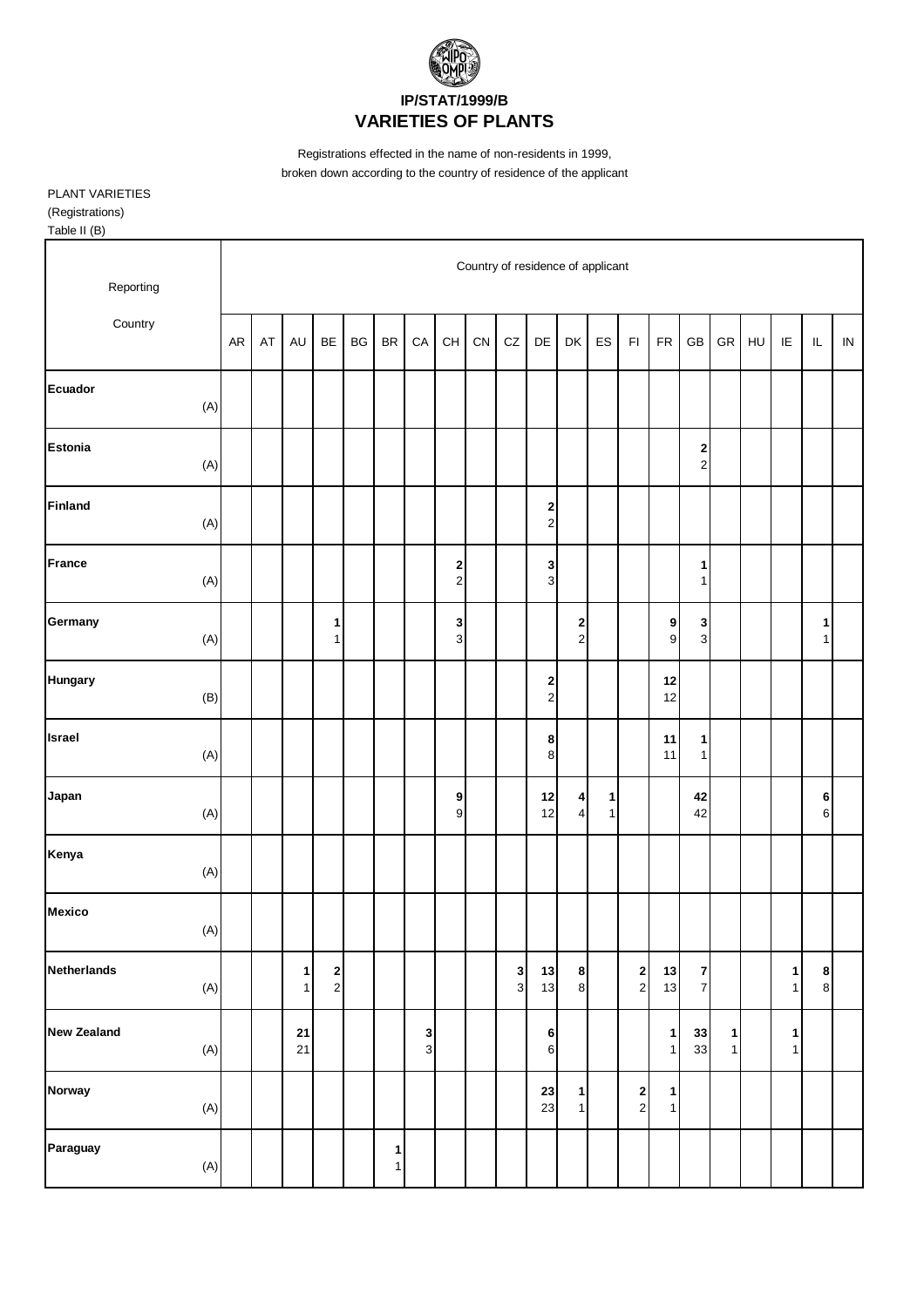

## **VARIETIES OF PLANTS**

Registrations effected in the name of non-residents in 1999, broken down according to the country of residence of the applicant

PLANT VARIETIES (Registrations) Table II (B)

| Reporting                   |    |    |                   |                                           |    |                                   |                                |                                          |    |                              | Country of residence of applicant |                               |        |                                          |                                      |                              |            |    |                   |                              |            |
|-----------------------------|----|----|-------------------|-------------------------------------------|----|-----------------------------------|--------------------------------|------------------------------------------|----|------------------------------|-----------------------------------|-------------------------------|--------|------------------------------------------|--------------------------------------|------------------------------|------------|----|-------------------|------------------------------|------------|
| Country                     | AR | AT | AU                | BE                                        | BG | $\ensuremath{\mathsf{BR}}\xspace$ | CA                             | $\mathsf{CH}% \left( \mathcal{M}\right)$ | CN | CZ                           | DE                                | DK                            | ES     | $\mathsf{F} \mathsf{I}$                  | ${\sf FR}$                           | GB                           | ${\sf GR}$ | HU | $\sf IE$          | IL                           | ${\sf IN}$ |
| Ecuador<br>(A)              |    |    |                   |                                           |    |                                   |                                |                                          |    |                              |                                   |                               |        |                                          |                                      |                              |            |    |                   |                              |            |
| <b>Estonia</b><br>$(A)$     |    |    |                   |                                           |    |                                   |                                |                                          |    |                              |                                   |                               |        |                                          |                                      | $\mathbf{2}$<br>$\mathbf{2}$ |            |    |                   |                              |            |
| Finland<br>(A)              |    |    |                   |                                           |    |                                   |                                |                                          |    |                              | 2<br>$\overline{a}$               |                               |        |                                          |                                      |                              |            |    |                   |                              |            |
| France<br>(A)               |    |    |                   |                                           |    |                                   |                                | $\begin{array}{c} 2 \\ 2 \end{array}$    |    |                              | 3<br>$\mathbf{3}$                 |                               |        |                                          |                                      | 1<br>1 <sup>1</sup>          |            |    |                   |                              |            |
| Germany<br>(A)              |    |    |                   | 1<br>$\mathbf{1}$                         |    |                                   |                                | $\mathbf{3}$<br>$\overline{\mathbf{3}}$  |    |                              |                                   | $\mathbf 2$<br>$\overline{a}$ |        |                                          | $\boldsymbol{9}$<br>$\boldsymbol{9}$ | $\mathbf{3}$<br>$\mathbf{3}$ |            |    |                   | $\mathbf{1}$<br>$\mathbf{1}$ |            |
| <b>Hungary</b><br>(B)       |    |    |                   |                                           |    |                                   |                                |                                          |    |                              | $\mathbf{2}$<br>$\overline{a}$    |                               |        |                                          | 12<br>12                             |                              |            |    |                   |                              |            |
| <b>Israel</b><br>(A)        |    |    |                   |                                           |    |                                   |                                |                                          |    |                              | 8<br>8                            |                               |        |                                          | 11<br>11                             | 1<br>1 <sup>1</sup>          |            |    |                   |                              |            |
| Japan<br>(A)                |    |    |                   |                                           |    |                                   |                                | $\boldsymbol{9}$<br>$\mathsf g$          |    |                              | 12<br>12                          | 4<br>$\overline{\mathbf{4}}$  | 1<br>1 |                                          |                                      | 42<br>42                     |            |    |                   | 6<br>6                       |            |
| Kenya<br>(A)                |    |    |                   |                                           |    |                                   |                                |                                          |    |                              |                                   |                               |        |                                          |                                      |                              |            |    |                   |                              |            |
| <b>Mexico</b><br>(A)        |    |    |                   |                                           |    |                                   |                                |                                          |    |                              |                                   |                               |        |                                          |                                      |                              |            |    |                   |                              |            |
| <b>Netherlands</b><br>(A)   |    |    | 1<br>$\mathbf{1}$ | $\overline{\mathbf{c}}$<br>$\overline{c}$ |    |                                   |                                |                                          |    | $\mathbf{3}$<br>$\mathbf{3}$ | $13$<br>13                        | 8<br>$\bf 8$                  |        | $\begin{array}{c} 2 \\ 2 \end{array}$    | 13<br>13                             | $\mathbf{7}$<br>7            |            |    | 1<br>$\mathbf{1}$ | 8<br>$\bf 8$                 |            |
| <b>New Zealand</b><br>$(A)$ |    |    | ${\bf 21}$<br>21  |                                           |    |                                   | 3<br>$\ensuremath{\mathsf{3}}$ |                                          |    |                              | 6<br>6                            |                               |        |                                          | $\mathbf{1}$<br>$\mathbf{1}$         | 33<br>33                     | 1<br>1     |    | 1<br>$\mathbf{1}$ |                              |            |
| Norway<br>(A)               |    |    |                   |                                           |    |                                   |                                |                                          |    |                              | 23<br>23                          | $\mathbf{1}$<br>1             |        | $\begin{array}{c} \n2 \\ 2\n\end{array}$ | 1<br>1                               |                              |            |    |                   |                              |            |
| Paraguay<br>(A)             |    |    |                   |                                           |    | 1<br>$\mathbf{1}$                 |                                |                                          |    |                              |                                   |                               |        |                                          |                                      |                              |            |    |                   |                              |            |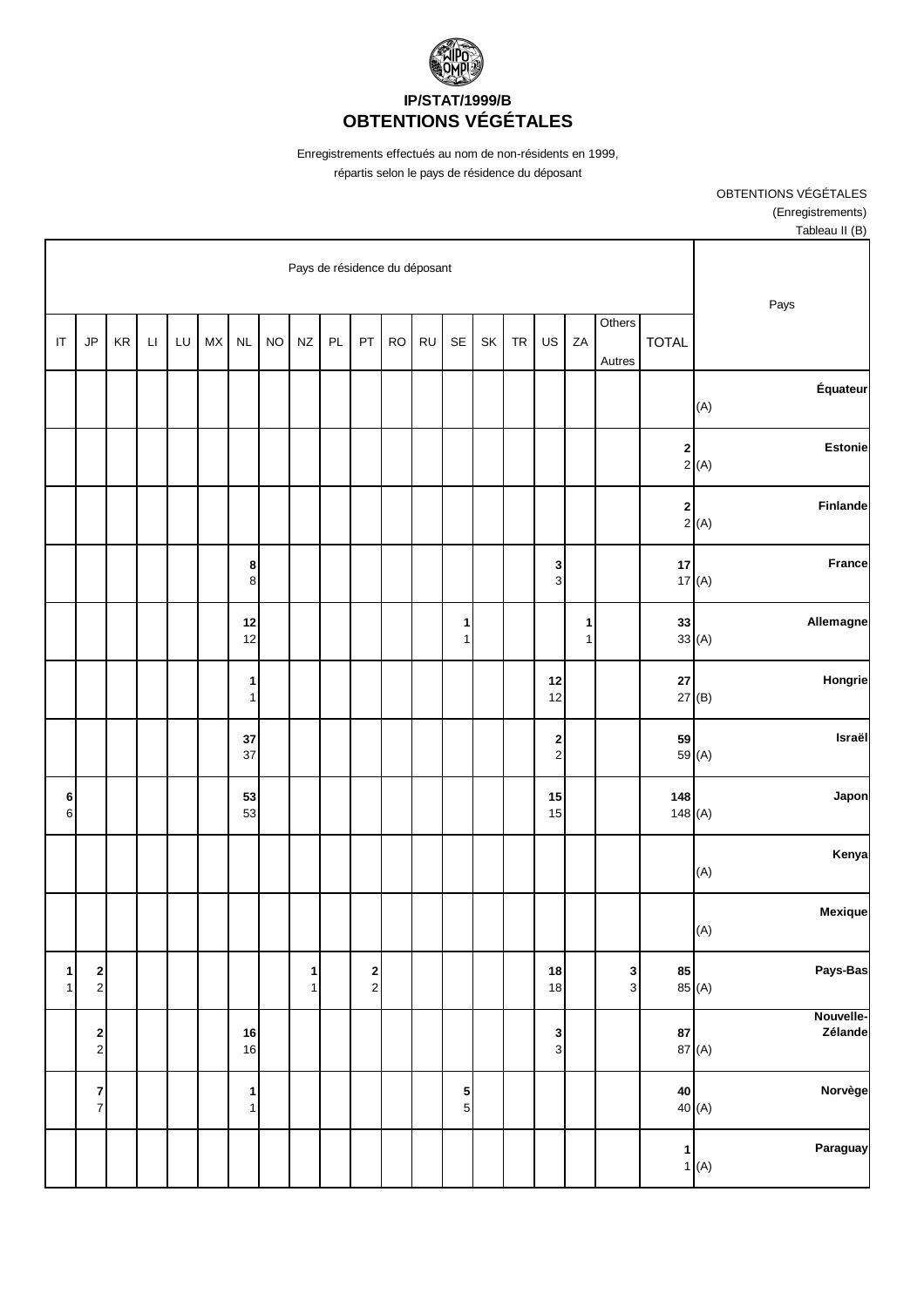

Enregistrements effectués au nom de non-résidents en 1999,

répartis selon le pays de résidence du déposant

OBTENTIONS VÉGÉTALES (Enregistrements) Tableau II (B)

| Pays                                                         | Pays de résidence du déposant<br>Others                                                                                                                                                                             |                                |                   |                              |  |  |                                |  |  |                                                               |  |                   |  |                   |  |                        |                                             |                              |
|--------------------------------------------------------------|---------------------------------------------------------------------------------------------------------------------------------------------------------------------------------------------------------------------|--------------------------------|-------------------|------------------------------|--|--|--------------------------------|--|--|---------------------------------------------------------------|--|-------------------|--|-------------------|--|------------------------|---------------------------------------------|------------------------------|
|                                                              | <b>TOTAL</b><br>$\mathsf{JP}$<br>$\mathsf{KR}\xspace$<br>LU<br>PL<br><b>RU</b><br>SE<br>ZA<br>MX<br>$\sf NL$<br><b>NO</b><br>$N\!Z$<br>PT<br><b>RO</b><br>SK<br><b>TR</b><br>US<br>$\mathsf{L}\mathsf{L}$<br>Autres |                                |                   |                              |  |  |                                |  |  |                                                               |  |                   |  |                   |  | $\mathsf{I}\mathsf{T}$ |                                             |                              |
| Équateur<br>(A)                                              |                                                                                                                                                                                                                     |                                |                   |                              |  |  |                                |  |  |                                                               |  |                   |  |                   |  |                        |                                             |                              |
| <b>Estonie</b><br>$\begin{bmatrix} 2 \\ 2 \end{bmatrix}$ (A) |                                                                                                                                                                                                                     |                                |                   |                              |  |  |                                |  |  |                                                               |  |                   |  |                   |  |                        |                                             |                              |
| Finlande<br>$\begin{bmatrix} 2 \\ 2 \end{bmatrix}$ (A)       |                                                                                                                                                                                                                     |                                |                   |                              |  |  |                                |  |  |                                                               |  |                   |  |                   |  |                        |                                             |                              |
| <b>France</b>                                                | $17\,$<br>17(A)                                                                                                                                                                                                     |                                |                   | $\mathbf{3}$<br>$\mathbf{3}$ |  |  |                                |  |  |                                                               |  |                   |  | 8<br>$\bf8$       |  |                        |                                             |                              |
| Allemagne                                                    | 33<br>33(A)                                                                                                                                                                                                         |                                | 1<br>$\mathbf{1}$ |                              |  |  | $\mathbf{1}$<br>1 <sup>1</sup> |  |  |                                                               |  |                   |  | 12<br>12          |  |                        |                                             |                              |
| Hongrie                                                      | ${\bf 27}$<br>27(B)                                                                                                                                                                                                 |                                |                   | 12<br>12                     |  |  |                                |  |  |                                                               |  |                   |  | 1<br>1            |  |                        |                                             |                              |
| Israël                                                       | 59<br>59 (A)                                                                                                                                                                                                        |                                |                   | $\frac{2}{2}$                |  |  |                                |  |  |                                                               |  |                   |  | 37<br>37          |  |                        |                                             |                              |
| Japon                                                        | 148<br>148(A)                                                                                                                                                                                                       |                                |                   | 15<br>15                     |  |  |                                |  |  |                                                               |  |                   |  | 53<br>53          |  |                        |                                             | $\bf 6$<br>$\,$ 6 $\,$       |
| Kenya<br>(A)                                                 |                                                                                                                                                                                                                     |                                |                   |                              |  |  |                                |  |  |                                                               |  |                   |  |                   |  |                        |                                             |                              |
| Mexique<br>(A)                                               |                                                                                                                                                                                                                     |                                |                   |                              |  |  |                                |  |  |                                                               |  |                   |  |                   |  |                        |                                             |                              |
| Pays-Bas                                                     | 85<br>85 (A)                                                                                                                                                                                                        | $\mathbf{3}$<br>$\overline{3}$ |                   | $18$<br>18                   |  |  |                                |  |  | $\begin{array}{c} \n\mathbf{2} \\ \n\mathbf{2} \n\end{array}$ |  | 1<br>$\mathbf{1}$ |  |                   |  |                        | $\begin{array}{c} \n2 \\ \n2 \n\end{array}$ | $\mathbf{1}$<br>$\mathbf{1}$ |
| Nouvelle-<br>Zélande                                         | 87<br>87 (A)                                                                                                                                                                                                        |                                |                   | $\frac{3}{3}$                |  |  |                                |  |  |                                                               |  |                   |  | 16<br>16          |  |                        | $\begin{array}{c} \n2 \\ \n2 \n\end{array}$ |                              |
| Norvège                                                      | ${\bf 40}$<br>40(A)                                                                                                                                                                                                 |                                |                   |                              |  |  | ${\bf 5}$<br>$5\overline{)}$   |  |  |                                                               |  |                   |  | 1<br>$\mathbf{1}$ |  |                        | $\boldsymbol{7}$<br>$\overline{7}$          |                              |
| Paraguay<br>1(A)                                             | $\mathbf{1}$                                                                                                                                                                                                        |                                |                   |                              |  |  |                                |  |  |                                                               |  |                   |  |                   |  |                        |                                             |                              |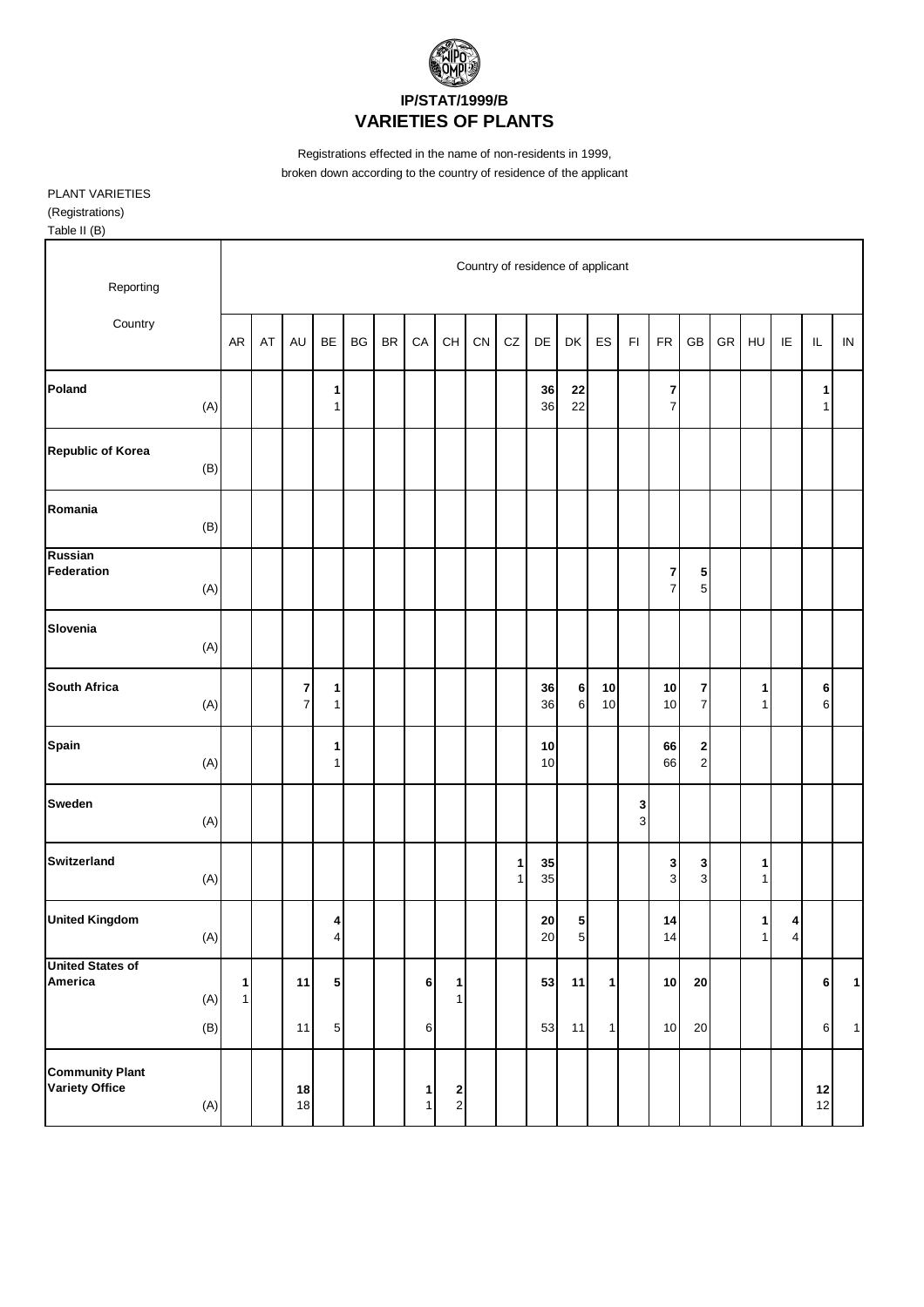

## **VARIETIES OF PLANTS**

Registrations effected in the name of non-residents in 1999, broken down according to the country of residence of the applicant

PLANT VARIETIES (Registrations) Table II (B)

| Reporting                                       |       |                              |    |                              |                   |    |           |                              |                                          |    |                   | Country of residence of applicant |                     |              |                                |                              |                                  |    |                                  |                                    |                   |              |
|-------------------------------------------------|-------|------------------------------|----|------------------------------|-------------------|----|-----------|------------------------------|------------------------------------------|----|-------------------|-----------------------------------|---------------------|--------------|--------------------------------|------------------------------|----------------------------------|----|----------------------------------|------------------------------------|-------------------|--------------|
| Country                                         |       | <b>AR</b>                    | AT | <b>AU</b>                    | BE                | BG | <b>BR</b> | CA                           | CH                                       | CN | ${\tt CZ}$        | DE                                | DK                  | ES           | $\mathsf{F} \mathsf{I}$        | ${\sf FR}$                   | GB                               | GR | HU                               | IE                                 | IL                | ${\sf IN}$   |
| Poland                                          | (A)   |                              |    |                              | 1<br>1            |    |           |                              |                                          |    |                   | 36<br>36                          | 22<br>22            |              |                                | 7<br>7                       |                                  |    |                                  |                                    | 1<br>$\mathbf{1}$ |              |
| <b>Republic of Korea</b>                        | (B)   |                              |    |                              |                   |    |           |                              |                                          |    |                   |                                   |                     |              |                                |                              |                                  |    |                                  |                                    |                   |              |
| Romania                                         | (B)   |                              |    |                              |                   |    |           |                              |                                          |    |                   |                                   |                     |              |                                |                              |                                  |    |                                  |                                    |                   |              |
| <b>Russian</b><br>Federation                    | (A)   |                              |    |                              |                   |    |           |                              |                                          |    |                   |                                   |                     |              |                                | 7<br>$\overline{\mathbf{7}}$ | 5<br>$\mathbf 5$                 |    |                                  |                                    |                   |              |
| Slovenia                                        | (A)   |                              |    |                              |                   |    |           |                              |                                          |    |                   |                                   |                     |              |                                |                              |                                  |    |                                  |                                    |                   |              |
| <b>South Africa</b>                             | (A)   |                              |    | $\mathbf{z}$<br>$\mathbf{z}$ | 1<br>$\mathbf{1}$ |    |           |                              |                                          |    |                   | 36<br>36                          | $\bf 6$<br>6        | $10$<br>10   |                                | 10<br>10                     | $\mathbf{7}$<br>$\overline{7}$   |    | 1<br>$\mathbf 1$                 |                                    | 6<br>6            |              |
| Spain                                           | (A)   |                              |    |                              | 1<br>$\mathbf{1}$ |    |           |                              |                                          |    |                   | 10<br>$10$                        |                     |              |                                | 66<br>66                     | $\boldsymbol{2}$<br>$\mathbf{2}$ |    |                                  |                                    |                   |              |
| <b>Sweden</b>                                   | (A)   |                              |    |                              |                   |    |           |                              |                                          |    |                   |                                   |                     |              | 3<br>$\ensuremath{\mathsf{3}}$ |                              |                                  |    |                                  |                                    |                   |              |
| Switzerland                                     | (A)   |                              |    |                              |                   |    |           |                              |                                          |    | 1<br>$\mathbf{1}$ | 35<br>35                          |                     |              |                                | 3<br>$\overline{\mathbf{3}}$ | 3<br>$\overline{3}$              |    | 1<br>$\mathbf{1}$                |                                    |                   |              |
| <b>United Kingdom</b>                           | (A)   |                              |    |                              | 4<br>4            |    |           |                              |                                          |    |                   | ${\bf 20}$<br>$20\,$              | 5<br>$\overline{5}$ |              |                                | 14<br>14                     |                                  |    | 1 <sub>1</sub><br>1 <sup>1</sup> | $\vert$<br>$\overline{\mathbf{4}}$ |                   |              |
| <b>United States of</b><br>America              | (A)   | $\mathbf{1}$<br>$\mathbf{1}$ |    | 11                           | $5\phantom{.0}$   |    |           | 6                            | 1<br>$\mathbf{1}$                        |    |                   | 53                                | 11                  | 1            |                                | 10                           | 20                               |    |                                  |                                    | 6                 | $\mathbf{1}$ |
|                                                 | (B)   |                              |    | 11                           | $5\phantom{.0}$   |    |           | 6                            |                                          |    |                   | 53                                | 11                  | $\mathbf{1}$ |                                | 10                           | 20                               |    |                                  |                                    | $6 \mid$          | $\mathbf 1$  |
| <b>Community Plant</b><br><b>Variety Office</b> | $(A)$ |                              |    | 18<br>18                     |                   |    |           | $\mathbf{1}$<br>$\mathbf{1}$ | $\begin{array}{c} \n2 \\ 2\n\end{array}$ |    |                   |                                   |                     |              |                                |                              |                                  |    |                                  |                                    | 12<br>12          |              |